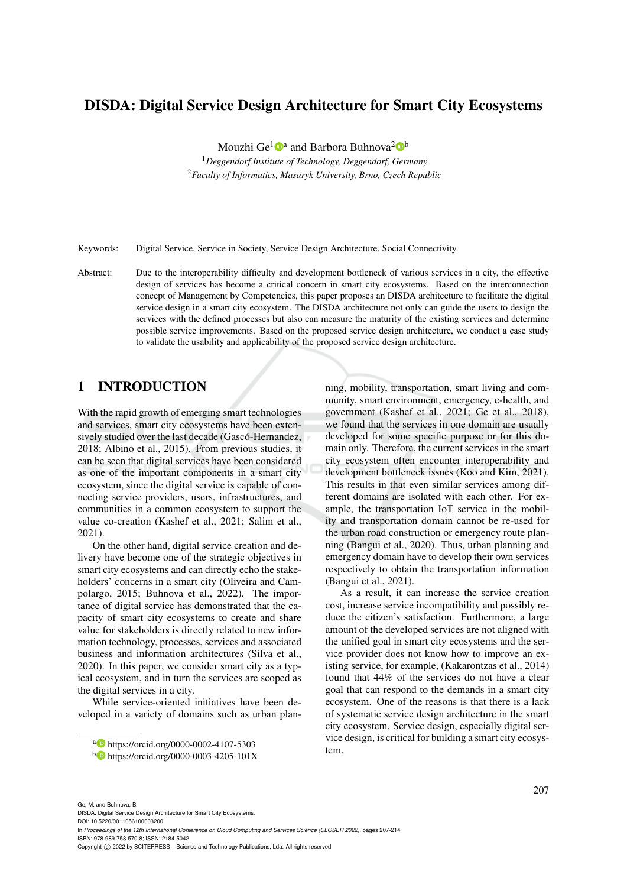## DISDA: Digital Service Design Architecture for Smart City Ecosystems

Mouzhi Ge<sup>1</sup><sup>0</sup>ª and Barbora Buhnova<sup>2</sup><sup>0</sup>

<sup>1</sup>*Deggendorf Institute of Technology, Deggendorf, Germany* <sup>2</sup>*Faculty of Informatics, Masaryk University, Brno, Czech Republic*

Keywords: Digital Service, Service in Society, Service Design Architecture, Social Connectivity.

Abstract: Due to the interoperability difficulty and development bottleneck of various services in a city, the effective design of services has become a critical concern in smart city ecosystems. Based on the interconnection concept of Management by Competencies, this paper proposes an DISDA architecture to facilitate the digital service design in a smart city ecosystem. The DISDA architecture not only can guide the users to design the services with the defined processes but also can measure the maturity of the existing services and determine possible service improvements. Based on the proposed service design architecture, we conduct a case study to validate the usability and applicability of the proposed service design architecture.

## 1 INTRODUCTION

With the rapid growth of emerging smart technologies and services, smart city ecosystems have been extensively studied over the last decade (Gascó-Hernandez, 2018; Albino et al., 2015). From previous studies, it can be seen that digital services have been considered as one of the important components in a smart city ecosystem, since the digital service is capable of connecting service providers, users, infrastructures, and communities in a common ecosystem to support the value co-creation (Kashef et al., 2021; Salim et al., 2021).

On the other hand, digital service creation and delivery have become one of the strategic objectives in smart city ecosystems and can directly echo the stakeholders' concerns in a smart city (Oliveira and Campolargo, 2015; Buhnova et al., 2022). The importance of digital service has demonstrated that the capacity of smart city ecosystems to create and share value for stakeholders is directly related to new information technology, processes, services and associated business and information architectures (Silva et al., 2020). In this paper, we consider smart city as a typical ecosystem, and in turn the services are scoped as the digital services in a city.

While service-oriented initiatives have been developed in a variety of domains such as urban planning, mobility, transportation, smart living and community, smart environment, emergency, e-health, and government (Kashef et al., 2021; Ge et al., 2018), we found that the services in one domain are usually developed for some specific purpose or for this domain only. Therefore, the current services in the smart city ecosystem often encounter interoperability and development bottleneck issues (Koo and Kim, 2021). This results in that even similar services among different domains are isolated with each other. For example, the transportation IoT service in the mobility and transportation domain cannot be re-used for the urban road construction or emergency route planning (Bangui et al., 2020). Thus, urban planning and emergency domain have to develop their own services respectively to obtain the transportation information (Bangui et al., 2021).

As a result, it can increase the service creation cost, increase service incompatibility and possibly reduce the citizen's satisfaction. Furthermore, a large amount of the developed services are not aligned with the unified goal in smart city ecosystems and the service provider does not know how to improve an existing service, for example, (Kakarontzas et al., 2014) found that 44% of the services do not have a clear goal that can respond to the demands in a smart city ecosystem. One of the reasons is that there is a lack of systematic service design architecture in the smart city ecosystem. Service design, especially digital service design, is critical for building a smart city ecosystem.

DISDA: Digital Service Design Architecture for Smart City Ecosystems. DOI: 10.5220/0011056100003200

In *Proceedings of the 12th International Conference on Cloud Computing and Services Science (CLOSER 2022)*, pages 207-214 ISBN: 978-989-758-570-8; ISSN: 2184-5042

<sup>a</sup> https://orcid.org/0000-0002-4107-5303

<sup>b</sup> https://orcid.org/0000-0003-4205-101X

Copyright (C) 2022 by SCITEPRESS - Science and Technology Publications, Lda. All rights reserved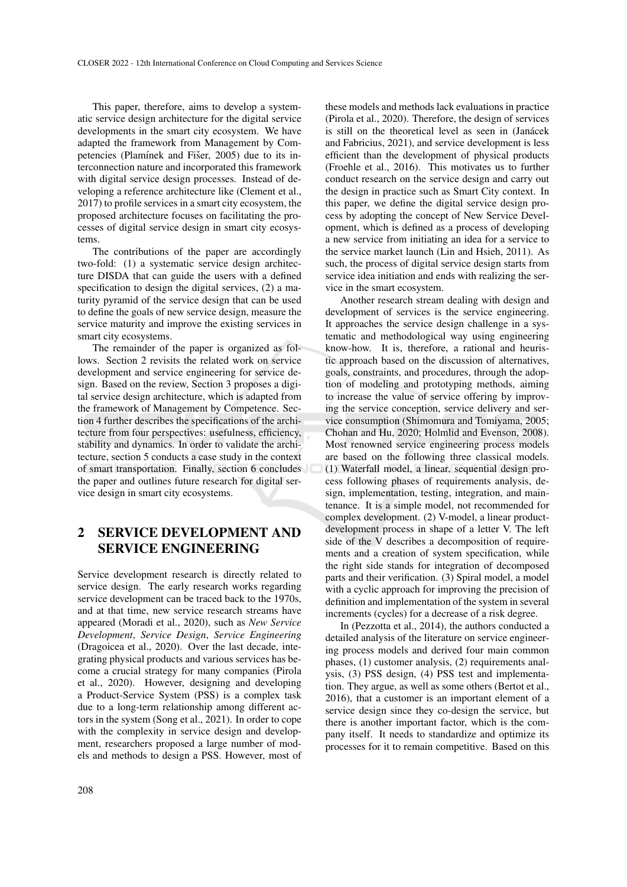This paper, therefore, aims to develop a systematic service design architecture for the digital service developments in the smart city ecosystem. We have adapted the framework from Management by Competencies (Plamínek and Fišer, 2005) due to its interconnection nature and incorporated this framework with digital service design processes. Instead of developing a reference architecture like (Clement et al., 2017) to profile services in a smart city ecosystem, the proposed architecture focuses on facilitating the processes of digital service design in smart city ecosystems.

The contributions of the paper are accordingly two-fold: (1) a systematic service design architecture DISDA that can guide the users with a defined specification to design the digital services, (2) a maturity pyramid of the service design that can be used to define the goals of new service design, measure the service maturity and improve the existing services in smart city ecosystems.

The remainder of the paper is organized as follows. Section 2 revisits the related work on service development and service engineering for service design. Based on the review, Section 3 proposes a digital service design architecture, which is adapted from the framework of Management by Competence. Section 4 further describes the specifications of the architecture from four perspectives: usefulness, efficiency, stability and dynamics. In order to validate the architecture, section 5 conducts a case study in the context of smart transportation. Finally, section 6 concludes the paper and outlines future research for digital service design in smart city ecosystems.

# 2 SERVICE DEVELOPMENT AND SERVICE ENGINEERING

Service development research is directly related to service design. The early research works regarding service development can be traced back to the 1970s, and at that time, new service research streams have appeared (Moradi et al., 2020), such as *New Service Development*, *Service Design*, *Service Engineering* (Dragoicea et al., 2020). Over the last decade, integrating physical products and various services has become a crucial strategy for many companies (Pirola et al., 2020). However, designing and developing a Product-Service System (PSS) is a complex task due to a long-term relationship among different actors in the system (Song et al., 2021). In order to cope with the complexity in service design and development, researchers proposed a large number of models and methods to design a PSS. However, most of

these models and methods lack evaluations in practice (Pirola et al., 2020). Therefore, the design of services is still on the theoretical level as seen in (Janácek and Fabricius, 2021), and service development is less efficient than the development of physical products (Froehle et al., 2016). This motivates us to further conduct research on the service design and carry out the design in practice such as Smart City context. In this paper, we define the digital service design process by adopting the concept of New Service Development, which is defined as a process of developing a new service from initiating an idea for a service to the service market launch (Lin and Hsieh, 2011). As such, the process of digital service design starts from service idea initiation and ends with realizing the service in the smart ecosystem.

Another research stream dealing with design and development of services is the service engineering. It approaches the service design challenge in a systematic and methodological way using engineering know-how. It is, therefore, a rational and heuristic approach based on the discussion of alternatives, goals, constraints, and procedures, through the adoption of modeling and prototyping methods, aiming to increase the value of service offering by improving the service conception, service delivery and service consumption (Shimomura and Tomiyama, 2005; Chohan and Hu, 2020; Holmlid and Evenson, 2008). Most renowned service engineering process models are based on the following three classical models. (1) Waterfall model, a linear, sequential design process following phases of requirements analysis, design, implementation, testing, integration, and maintenance. It is a simple model, not recommended for complex development. (2) V-model, a linear productdevelopment process in shape of a letter V. The left side of the V describes a decomposition of requirements and a creation of system specification, while the right side stands for integration of decomposed parts and their verification. (3) Spiral model, a model with a cyclic approach for improving the precision of definition and implementation of the system in several increments (cycles) for a decrease of a risk degree.

In (Pezzotta et al., 2014), the authors conducted a detailed analysis of the literature on service engineering process models and derived four main common phases, (1) customer analysis, (2) requirements analysis, (3) PSS design, (4) PSS test and implementation. They argue, as well as some others (Bertot et al., 2016), that a customer is an important element of a service design since they co-design the service, but there is another important factor, which is the company itself. It needs to standardize and optimize its processes for it to remain competitive. Based on this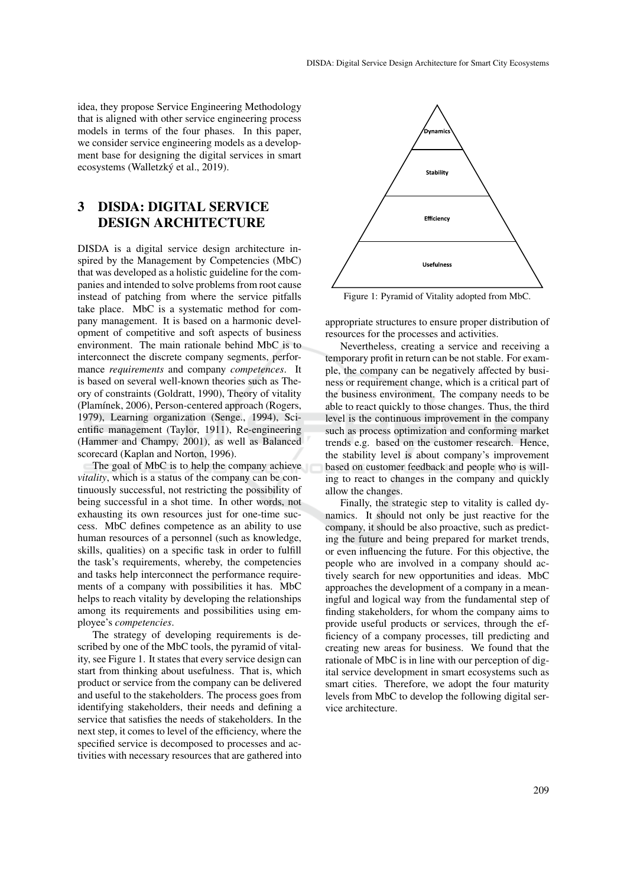idea, they propose Service Engineering Methodology that is aligned with other service engineering process models in terms of the four phases. In this paper, we consider service engineering models as a development base for designing the digital services in smart ecosystems (Walletzký et al., 2019).

# 3 DISDA: DIGITAL SERVICE DESIGN ARCHITECTURE

DISDA is a digital service design architecture inspired by the Management by Competencies (MbC) that was developed as a holistic guideline for the companies and intended to solve problems from root cause instead of patching from where the service pitfalls take place. MbC is a systematic method for company management. It is based on a harmonic development of competitive and soft aspects of business environment. The main rationale behind MbC is to interconnect the discrete company segments, performance *requirements* and company *competences*. It is based on several well-known theories such as Theory of constraints (Goldratt, 1990), Theory of vitality (Plamínek, 2006), Person-centered approach (Rogers, 1979), Learning organization (Senge., 1994), Scientific management (Taylor, 1911), Re-engineering (Hammer and Champy, 2001), as well as Balanced scorecard (Kaplan and Norton, 1996).

The goal of MbC is to help the company achieve *vitality*, which is a status of the company can be continuously successful, not restricting the possibility of being successful in a shot time. In other words, not exhausting its own resources just for one-time success. MbC defines competence as an ability to use human resources of a personnel (such as knowledge, skills, qualities) on a specific task in order to fulfill the task's requirements, whereby, the competencies and tasks help interconnect the performance requirements of a company with possibilities it has. MbC helps to reach vitality by developing the relationships among its requirements and possibilities using employee's *competencies*.

The strategy of developing requirements is described by one of the MbC tools, the pyramid of vitality, see Figure 1. It states that every service design can start from thinking about usefulness. That is, which product or service from the company can be delivered and useful to the stakeholders. The process goes from identifying stakeholders, their needs and defining a service that satisfies the needs of stakeholders. In the next step, it comes to level of the efficiency, where the specified service is decomposed to processes and activities with necessary resources that are gathered into



Figure 1: Pyramid of Vitality adopted from MbC.

appropriate structures to ensure proper distribution of resources for the processes and activities.

Nevertheless, creating a service and receiving a temporary profit in return can be not stable. For example, the company can be negatively affected by business or requirement change, which is a critical part of the business environment. The company needs to be able to react quickly to those changes. Thus, the third level is the continuous improvement in the company such as process optimization and conforming market trends e.g. based on the customer research. Hence, the stability level is about company's improvement based on customer feedback and people who is willing to react to changes in the company and quickly allow the changes.

Finally, the strategic step to vitality is called dynamics. It should not only be just reactive for the company, it should be also proactive, such as predicting the future and being prepared for market trends, or even influencing the future. For this objective, the people who are involved in a company should actively search for new opportunities and ideas. MbC approaches the development of a company in a meaningful and logical way from the fundamental step of finding stakeholders, for whom the company aims to provide useful products or services, through the efficiency of a company processes, till predicting and creating new areas for business. We found that the rationale of MbC is in line with our perception of digital service development in smart ecosystems such as smart cities. Therefore, we adopt the four maturity levels from MbC to develop the following digital service architecture.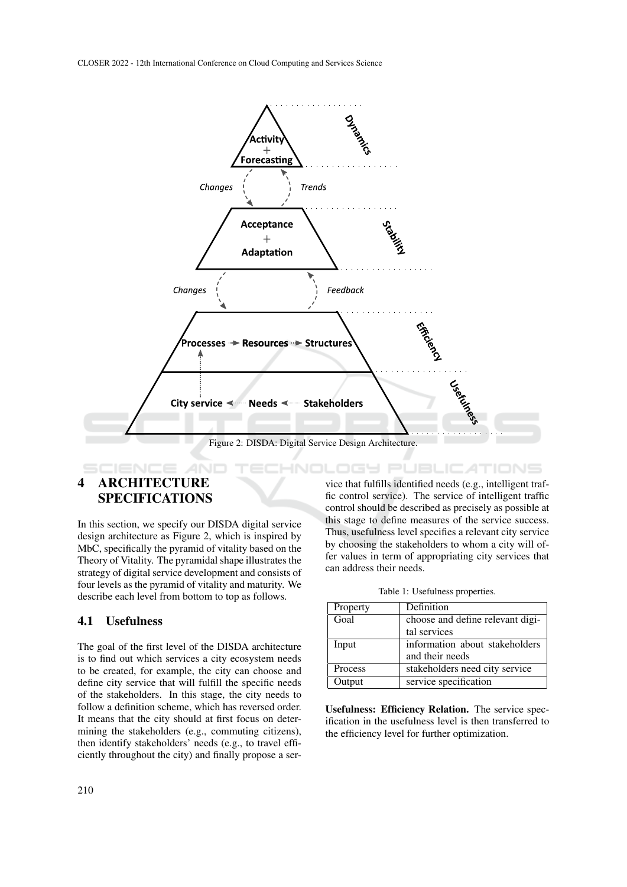

# 4 ARCHITECTURE SPECIFICATIONS

In this section, we specify our DISDA digital service design architecture as Figure 2, which is inspired by MbC, specifically the pyramid of vitality based on the Theory of Vitality. The pyramidal shape illustrates the strategy of digital service development and consists of four levels as the pyramid of vitality and maturity. We describe each level from bottom to top as follows.

#### 4.1 Usefulness

The goal of the first level of the DISDA architecture is to find out which services a city ecosystem needs to be created, for example, the city can choose and define city service that will fulfill the specific needs of the stakeholders. In this stage, the city needs to follow a definition scheme, which has reversed order. It means that the city should at first focus on determining the stakeholders (e.g., commuting citizens), then identify stakeholders' needs (e.g., to travel efficiently throughout the city) and finally propose a ser-

vice that fulfills identified needs (e.g., intelligent traffic control service). The service of intelligent traffic control should be described as precisely as possible at this stage to define measures of the service success. Thus, usefulness level specifies a relevant city service by choosing the stakeholders to whom a city will offer values in term of appropriating city services that can address their needs.

Table 1: Usefulness properties.

| Property | Definition                       |
|----------|----------------------------------|
| Goal     | choose and define relevant digi- |
|          | tal services                     |
| Input    | information about stakeholders   |
|          | and their needs                  |
| Process  | stakeholders need city service   |
| Output   | service specification            |

Usefulness: Efficiency Relation. The service specification in the usefulness level is then transferred to the efficiency level for further optimization.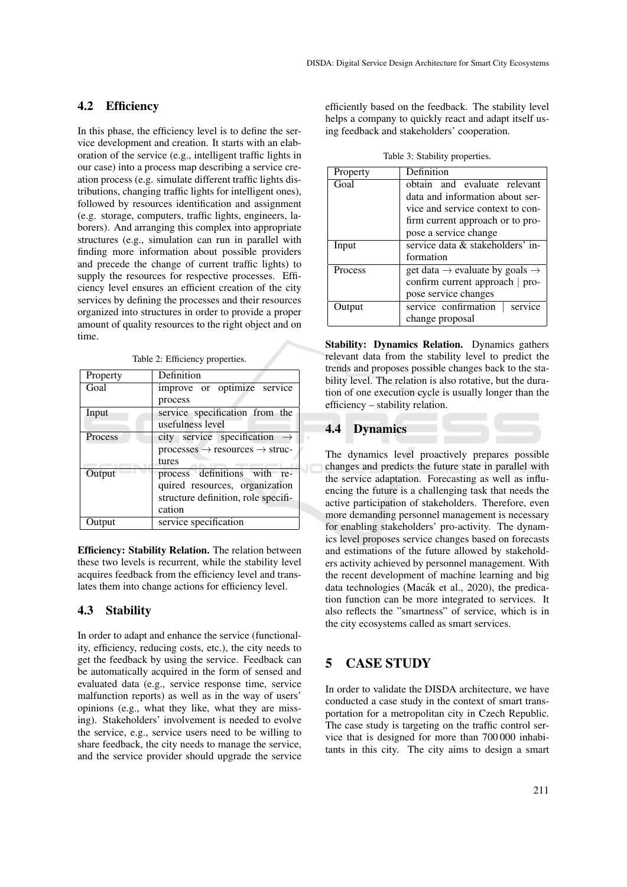#### 4.2 Efficiency

In this phase, the efficiency level is to define the service development and creation. It starts with an elaboration of the service (e.g., intelligent traffic lights in our case) into a process map describing a service creation process (e.g. simulate different traffic lights distributions, changing traffic lights for intelligent ones), followed by resources identification and assignment (e.g. storage, computers, traffic lights, engineers, laborers). And arranging this complex into appropriate structures (e.g., simulation can run in parallel with finding more information about possible providers and precede the change of current traffic lights) to supply the resources for respective processes. Efficiency level ensures an efficient creation of the city services by defining the processes and their resources organized into structures in order to provide a proper amount of quality resources to the right object and on time.

Table 2: Efficiency properties.

| Property | Definition                                          |
|----------|-----------------------------------------------------|
| Goal     | improve or optimize service                         |
|          | process                                             |
| Input    | service specification from the                      |
|          | usefulness level                                    |
| Process  | city service specification                          |
|          | $processes \rightarrow resources \rightarrow struc$ |
|          | tures                                               |
| Output   | process definitions with re-                        |
|          | quired resources, organization                      |
|          | structure definition, role specifi-                 |
|          | cation                                              |
| Output   | service specification                               |

Efficiency: Stability Relation. The relation between these two levels is recurrent, while the stability level acquires feedback from the efficiency level and translates them into change actions for efficiency level.

#### 4.3 Stability

In order to adapt and enhance the service (functionality, efficiency, reducing costs, etc.), the city needs to get the feedback by using the service. Feedback can be automatically acquired in the form of sensed and evaluated data (e.g., service response time, service malfunction reports) as well as in the way of users' opinions (e.g., what they like, what they are missing). Stakeholders' involvement is needed to evolve the service, e.g., service users need to be willing to share feedback, the city needs to manage the service, and the service provider should upgrade the service efficiently based on the feedback. The stability level helps a company to quickly react and adapt itself using feedback and stakeholders' cooperation.

Table 3: Stability properties.

| Property | Definition                                             |
|----------|--------------------------------------------------------|
| Goal     | obtain and evaluate relevant                           |
|          | data and information about ser-                        |
|          | vice and service context to con-                       |
|          | firm current approach or to pro-                       |
|          | pose a service change                                  |
| Input    | service data & stakeholders' in-                       |
|          | formation                                              |
| Process  | get data $\rightarrow$ evaluate by goals $\rightarrow$ |
|          | confirm current approach   pro-                        |
|          | pose service changes                                   |
| Output   | service confirmation<br>service                        |
|          | change proposal                                        |

Stability: Dynamics Relation. Dynamics gathers relevant data from the stability level to predict the trends and proposes possible changes back to the stability level. The relation is also rotative, but the duration of one execution cycle is usually longer than the efficiency – stability relation.

#### 4.4 Dynamics

The dynamics level proactively prepares possible changes and predicts the future state in parallel with the service adaptation. Forecasting as well as influencing the future is a challenging task that needs the active participation of stakeholders. Therefore, even more demanding personnel management is necessary for enabling stakeholders' pro-activity. The dynamics level proposes service changes based on forecasts and estimations of the future allowed by stakeholders activity achieved by personnel management. With the recent development of machine learning and big data technologies (Macák et al., 2020), the predication function can be more integrated to services. It also reflects the "smartness" of service, which is in the city ecosystems called as smart services.

## 5 CASE STUDY

In order to validate the DISDA architecture, we have conducted a case study in the context of smart transportation for a metropolitan city in Czech Republic. The case study is targeting on the traffic control service that is designed for more than 700 000 inhabitants in this city. The city aims to design a smart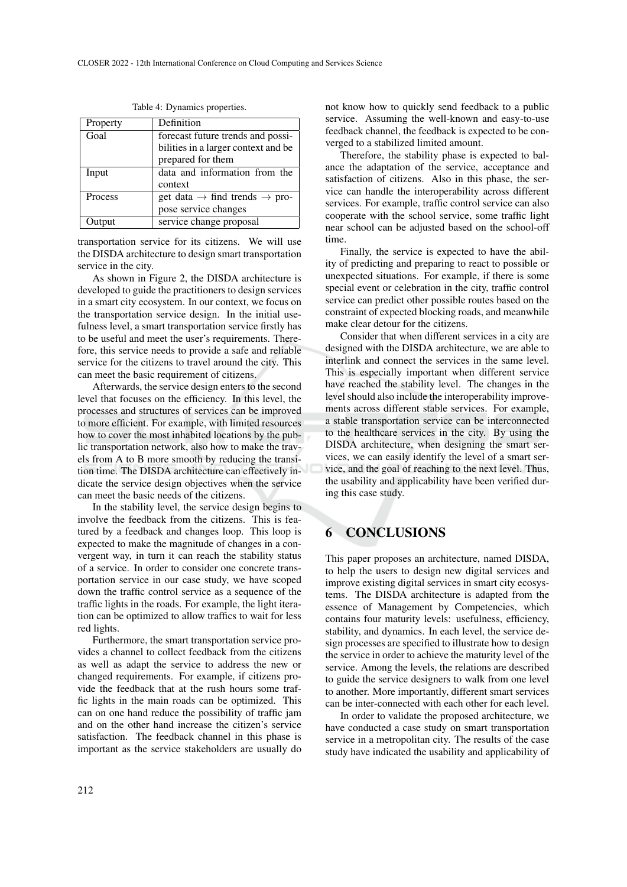| Definition                                            |
|-------------------------------------------------------|
| forecast future trends and possi-                     |
| bilities in a larger context and be                   |
| prepared for them                                     |
| data and information from the                         |
| context                                               |
| get data $\rightarrow$ find trends $\rightarrow$ pro- |
| pose service changes                                  |
| service change proposal                               |
|                                                       |

Table 4: Dynamics properties.

transportation service for its citizens. We will use the DISDA architecture to design smart transportation service in the city.

As shown in Figure 2, the DISDA architecture is developed to guide the practitioners to design services in a smart city ecosystem. In our context, we focus on the transportation service design. In the initial usefulness level, a smart transportation service firstly has to be useful and meet the user's requirements. Therefore, this service needs to provide a safe and reliable service for the citizens to travel around the city. This can meet the basic requirement of citizens.

Afterwards, the service design enters to the second level that focuses on the efficiency. In this level, the processes and structures of services can be improved to more efficient. For example, with limited resources how to cover the most inhabited locations by the public transportation network, also how to make the travels from A to B more smooth by reducing the transition time. The DISDA architecture can effectively indicate the service design objectives when the service can meet the basic needs of the citizens.

In the stability level, the service design begins to involve the feedback from the citizens. This is featured by a feedback and changes loop. This loop is expected to make the magnitude of changes in a convergent way, in turn it can reach the stability status of a service. In order to consider one concrete transportation service in our case study, we have scoped down the traffic control service as a sequence of the traffic lights in the roads. For example, the light iteration can be optimized to allow traffics to wait for less red lights.

Furthermore, the smart transportation service provides a channel to collect feedback from the citizens as well as adapt the service to address the new or changed requirements. For example, if citizens provide the feedback that at the rush hours some traffic lights in the main roads can be optimized. This can on one hand reduce the possibility of traffic jam and on the other hand increase the citizen's service satisfaction. The feedback channel in this phase is important as the service stakeholders are usually do not know how to quickly send feedback to a public service. Assuming the well-known and easy-to-use feedback channel, the feedback is expected to be converged to a stabilized limited amount.

Therefore, the stability phase is expected to balance the adaptation of the service, acceptance and satisfaction of citizens. Also in this phase, the service can handle the interoperability across different services. For example, traffic control service can also cooperate with the school service, some traffic light near school can be adjusted based on the school-off time.

Finally, the service is expected to have the ability of predicting and preparing to react to possible or unexpected situations. For example, if there is some special event or celebration in the city, traffic control service can predict other possible routes based on the constraint of expected blocking roads, and meanwhile make clear detour for the citizens.

Consider that when different services in a city are designed with the DISDA architecture, we are able to interlink and connect the services in the same level. This is especially important when different service have reached the stability level. The changes in the level should also include the interoperability improvements across different stable services. For example, a stable transportation service can be interconnected to the healthcare services in the city. By using the DISDA architecture, when designing the smart services, we can easily identify the level of a smart service, and the goal of reaching to the next level. Thus, the usability and applicability have been verified during this case study.

#### 6 CONCLUSIONS

This paper proposes an architecture, named DISDA, to help the users to design new digital services and improve existing digital services in smart city ecosystems. The DISDA architecture is adapted from the essence of Management by Competencies, which contains four maturity levels: usefulness, efficiency, stability, and dynamics. In each level, the service design processes are specified to illustrate how to design the service in order to achieve the maturity level of the service. Among the levels, the relations are described to guide the service designers to walk from one level to another. More importantly, different smart services can be inter-connected with each other for each level.

In order to validate the proposed architecture, we have conducted a case study on smart transportation service in a metropolitan city. The results of the case study have indicated the usability and applicability of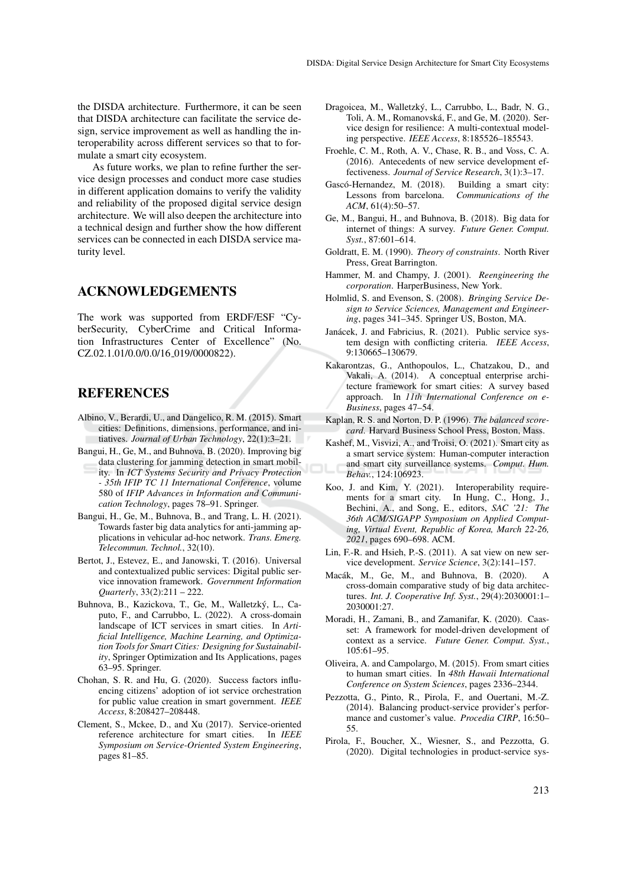the DISDA architecture. Furthermore, it can be seen that DISDA architecture can facilitate the service design, service improvement as well as handling the interoperability across different services so that to formulate a smart city ecosystem.

As future works, we plan to refine further the service design processes and conduct more case studies in different application domains to verify the validity and reliability of the proposed digital service design architecture. We will also deepen the architecture into a technical design and further show the how different services can be connected in each DISDA service maturity level.

#### ACKNOWLEDGEMENTS

The work was supported from ERDF/ESF "CyberSecurity, CyberCrime and Critical Information Infrastructures Center of Excellence" (No. CZ.02.1.01/0.0/0.0/16\_019/0000822).

#### REFERENCES

- Albino, V., Berardi, U., and Dangelico, R. M. (2015). Smart cities: Definitions, dimensions, performance, and initiatives. *Journal of Urban Technology*, 22(1):3–21.
- Bangui, H., Ge, M., and Buhnova, B. (2020). Improving big data clustering for jamming detection in smart mobil
	- ity. In *ICT Systems Security and Privacy Protection - 35th IFIP TC 11 International Conference*, volume 580 of *IFIP Advances in Information and Communication Technology*, pages 78–91. Springer.
- Bangui, H., Ge, M., Buhnova, B., and Trang, L. H. (2021). Towards faster big data analytics for anti-jamming applications in vehicular ad-hoc network. *Trans. Emerg. Telecommun. Technol.*, 32(10).
- Bertot, J., Estevez, E., and Janowski, T. (2016). Universal and contextualized public services: Digital public service innovation framework. *Government Information Quarterly*, 33(2):211 – 222.
- Buhnova, B., Kazickova, T., Ge, M., Walletzky, L., Ca- ´ puto, F., and Carrubbo, L. (2022). A cross-domain landscape of ICT services in smart cities. In *Artificial Intelligence, Machine Learning, and Optimization Tools for Smart Cities: Designing for Sustainability*, Springer Optimization and Its Applications, pages 63–95. Springer.
- Chohan, S. R. and Hu, G. (2020). Success factors influencing citizens' adoption of iot service orchestration for public value creation in smart government. *IEEE Access*, 8:208427–208448.
- Clement, S., Mckee, D., and Xu (2017). Service-oriented reference architecture for smart cities. In *IEEE Symposium on Service-Oriented System Engineering*, pages 81–85.
- Dragoicea, M., Walletzky, L., Carrubbo, L., Badr, N. G., ´ Toli, A. M., Romanovska, F., and Ge, M. (2020). Ser- ´ vice design for resilience: A multi-contextual modeling perspective. *IEEE Access*, 8:185526–185543.
- Froehle, C. M., Roth, A. V., Chase, R. B., and Voss, C. A. (2016). Antecedents of new service development effectiveness. *Journal of Service Research*, 3(1):3–17.
- Gascó-Hernandez, M. (2018). Building a smart city: Lessons from barcelona. *Communications of the ACM*, 61(4):50–57.
- Ge, M., Bangui, H., and Buhnova, B. (2018). Big data for internet of things: A survey. *Future Gener. Comput. Syst.*, 87:601–614.
- Goldratt, E. M. (1990). *Theory of constraints*. North River Press, Great Barrington.
- Hammer, M. and Champy, J. (2001). *Reengineering the corporation*. HarperBusiness, New York.
- Holmlid, S. and Evenson, S. (2008). *Bringing Service Design to Service Sciences, Management and Engineering*, pages 341–345. Springer US, Boston, MA.
- Janácek, J. and Fabricius, R. (2021). Public service system design with conflicting criteria. *IEEE Access*, 9:130665–130679.
- Kakarontzas, G., Anthopoulos, L., Chatzakou, D., and Vakali, A. (2014). A conceptual enterprise architecture framework for smart cities: A survey based approach. In *11th International Conference on e-Business*, pages 47–54.
- Kaplan, R. S. and Norton, D. P. (1996). *The balanced scorecard*. Harvard Business School Press, Boston, Mass.
- Kashef, M., Visvizi, A., and Troisi, O. (2021). Smart city as a smart service system: Human-computer interaction and smart city surveillance systems. *Comput. Hum. Behav.*, 124:106923.
- Koo, J. and Kim, Y. (2021). Interoperability requirements for a smart city. In Hung, C., Hong, J., Bechini, A., and Song, E., editors, *SAC '21: The 36th ACM/SIGAPP Symposium on Applied Computing, Virtual Event, Republic of Korea, March 22-26, 2021*, pages 690–698. ACM.
- Lin, F.-R. and Hsieh, P.-S. (2011). A sat view on new service development. *Service Science*, 3(2):141–157.
- Macak, M., Ge, M., and Buhnova, B. (2020). A ´ cross-domain comparative study of big data architectures. *Int. J. Cooperative Inf. Syst.*, 29(4):2030001:1– 2030001:27.
- Moradi, H., Zamani, B., and Zamanifar, K. (2020). Caasset: A framework for model-driven development of context as a service. *Future Gener. Comput. Syst.*, 105:61–95.
- Oliveira, A. and Campolargo, M. (2015). From smart cities to human smart cities. In *48th Hawaii International Conference on System Sciences*, pages 2336–2344.
- Pezzotta, G., Pinto, R., Pirola, F., and Ouertani, M.-Z. (2014). Balancing product-service provider's performance and customer's value. *Procedia CIRP*, 16:50– 55.
- Pirola, F., Boucher, X., Wiesner, S., and Pezzotta, G. (2020). Digital technologies in product-service sys-